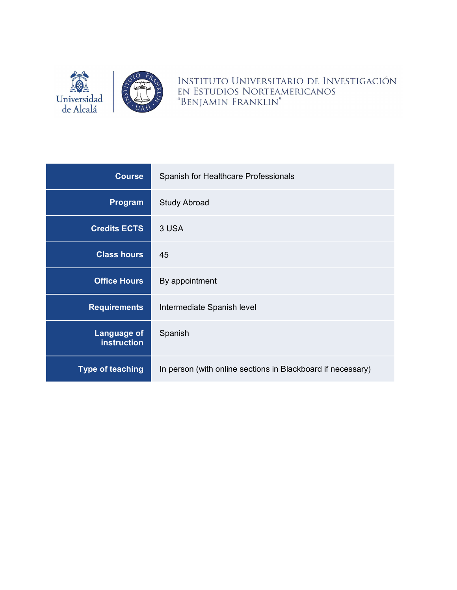

INSTITUTO UNIVERSITARIO DE INVESTIGACIÓN EN ESTUDIOS NORTEAMERICANOS "BENJAMIN FRANKLIN"

| <b>Course</b>                            | Spanish for Healthcare Professionals                        |  |
|------------------------------------------|-------------------------------------------------------------|--|
| Program                                  | <b>Study Abroad</b>                                         |  |
| <b>Credits ECTS</b>                      | 3 USA                                                       |  |
| <b>Class hours</b>                       | 45                                                          |  |
| <b>Office Hours</b>                      | By appointment                                              |  |
| <b>Requirements</b>                      | Intermediate Spanish level                                  |  |
| <b>Language of</b><br><b>instruction</b> | Spanish                                                     |  |
| <b>Type of teaching</b>                  | In person (with online sections in Blackboard if necessary) |  |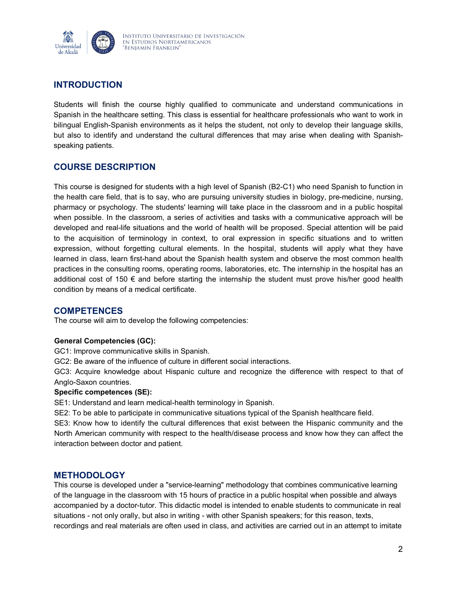

# **INTRODUCTION**

Students will finish the course highly qualified to communicate and understand communications in Spanish in the healthcare setting. This class is essential for healthcare professionals who want to work in bilingual English-Spanish environments as it helps the student, not only to develop their language skills, but also to identify and understand the cultural differences that may arise when dealing with Spanishspeaking patients.

# **COURSE DESCRIPTION**

This course is designed for students with a high level of Spanish (B2-C1) who need Spanish to function in the health care field, that is to say, who are pursuing university studies in biology, pre-medicine, nursing, pharmacy or psychology. The students' learning will take place in the classroom and in a public hospital when possible. In the classroom, a series of activities and tasks with a communicative approach will be developed and real-life situations and the world of health will be proposed. Special attention will be paid to the acquisition of terminology in context, to oral expression in specific situations and to written expression, without forgetting cultural elements. In the hospital, students will apply what they have learned in class, learn first-hand about the Spanish health system and observe the most common health practices in the consulting rooms, operating rooms, laboratories, etc. The internship in the hospital has an additional cost of 150 € and before starting the internship the student must prove his/her good health condition by means of a medical certificate.

## **COMPETENCES**

The course will aim to develop the following competencies:

#### **General Competencies (GC):**

GC1: Improve communicative skills in Spanish.

GC2: Be aware of the influence of culture in different social interactions.

GC3: Acquire knowledge about Hispanic culture and recognize the difference with respect to that of Anglo-Saxon countries.

#### **Specific competences (SE):**

SE1: Understand and learn medical-health terminology in Spanish.

SE2: To be able to participate in communicative situations typical of the Spanish healthcare field.

SE3: Know how to identify the cultural differences that exist between the Hispanic community and the North American community with respect to the health/disease process and know how they can affect the interaction between doctor and patient.

## **METHODOLOGY**

This course is developed under a "service-learning" methodology that combines communicative learning of the language in the classroom with 15 hours of practice in a public hospital when possible and always accompanied by a doctor-tutor. This didactic model is intended to enable students to communicate in real situations - not only orally, but also in writing - with other Spanish speakers; for this reason, texts, recordings and real materials are often used in class, and activities are carried out in an attempt to imitate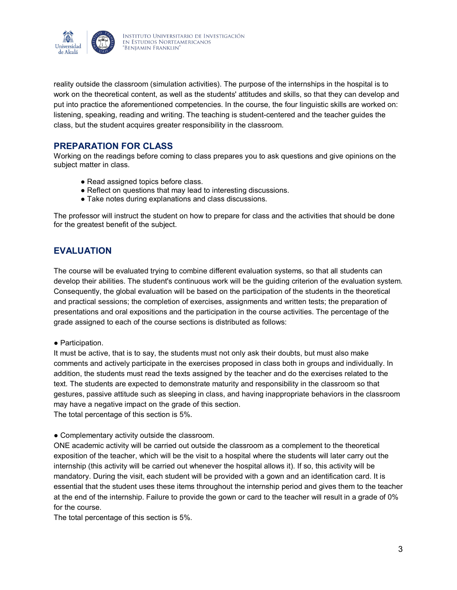

reality outside the classroom (simulation activities). The purpose of the internships in the hospital is to work on the theoretical content, as well as the students' attitudes and skills, so that they can develop and put into practice the aforementioned competencies. In the course, the four linguistic skills are worked on: listening, speaking, reading and writing. The teaching is student-centered and the teacher guides the class, but the student acquires greater responsibility in the classroom.

## **PREPARATION FOR CLASS**

Working on the readings before coming to class prepares you to ask questions and give opinions on the subject matter in class.

- Read assigned topics before class.
- Reflect on questions that may lead to interesting discussions.
- Take notes during explanations and class discussions.

The professor will instruct the student on how to prepare for class and the activities that should be done for the greatest benefit of the subject.

# **EVALUATION**

The course will be evaluated trying to combine different evaluation systems, so that all students can develop their abilities. The student's continuous work will be the guiding criterion of the evaluation system. Consequently, the global evaluation will be based on the participation of the students in the theoretical and practical sessions; the completion of exercises, assignments and written tests; the preparation of presentations and oral expositions and the participation in the course activities. The percentage of the grade assigned to each of the course sections is distributed as follows:

#### ● Participation.

It must be active, that is to say, the students must not only ask their doubts, but must also make comments and actively participate in the exercises proposed in class both in groups and individually. In addition, the students must read the texts assigned by the teacher and do the exercises related to the text. The students are expected to demonstrate maturity and responsibility in the classroom so that gestures, passive attitude such as sleeping in class, and having inappropriate behaviors in the classroom may have a negative impact on the grade of this section. The total percentage of this section is 5%.

● Complementary activity outside the classroom.

ONE academic activity will be carried out outside the classroom as a complement to the theoretical exposition of the teacher, which will be the visit to a hospital where the students will later carry out the internship (this activity will be carried out whenever the hospital allows it). If so, this activity will be mandatory. During the visit, each student will be provided with a gown and an identification card. It is essential that the student uses these items throughout the internship period and gives them to the teacher at the end of the internship. Failure to provide the gown or card to the teacher will result in a grade of 0% for the course.

The total percentage of this section is 5%.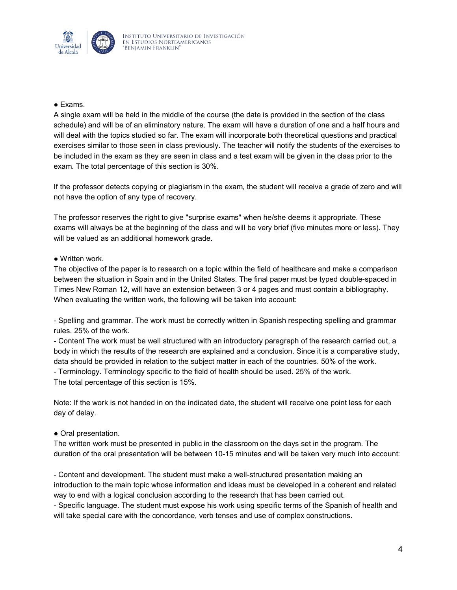

#### ● Exams.

A single exam will be held in the middle of the course (the date is provided in the section of the class schedule) and will be of an eliminatory nature. The exam will have a duration of one and a half hours and will deal with the topics studied so far. The exam will incorporate both theoretical questions and practical exercises similar to those seen in class previously. The teacher will notify the students of the exercises to be included in the exam as they are seen in class and a test exam will be given in the class prior to the exam. The total percentage of this section is 30%.

If the professor detects copying or plagiarism in the exam, the student will receive a grade of zero and will not have the option of any type of recovery.

The professor reserves the right to give "surprise exams" when he/she deems it appropriate. These exams will always be at the beginning of the class and will be very brief (five minutes more or less). They will be valued as an additional homework grade.

#### ● Written work.

The objective of the paper is to research on a topic within the field of healthcare and make a comparison between the situation in Spain and in the United States. The final paper must be typed double-spaced in Times New Roman 12, will have an extension between 3 or 4 pages and must contain a bibliography. When evaluating the written work, the following will be taken into account:

- Spelling and grammar. The work must be correctly written in Spanish respecting spelling and grammar rules. 25% of the work.

- Content The work must be well structured with an introductory paragraph of the research carried out, a body in which the results of the research are explained and a conclusion. Since it is a comparative study, data should be provided in relation to the subject matter in each of the countries. 50% of the work. - Terminology. Terminology specific to the field of health should be used. 25% of the work. The total percentage of this section is 15%.

Note: If the work is not handed in on the indicated date, the student will receive one point less for each day of delay.

#### ● Oral presentation.

The written work must be presented in public in the classroom on the days set in the program. The duration of the oral presentation will be between 10-15 minutes and will be taken very much into account:

- Content and development. The student must make a well-structured presentation making an introduction to the main topic whose information and ideas must be developed in a coherent and related way to end with a logical conclusion according to the research that has been carried out. - Specific language. The student must expose his work using specific terms of the Spanish of health and will take special care with the concordance, verb tenses and use of complex constructions.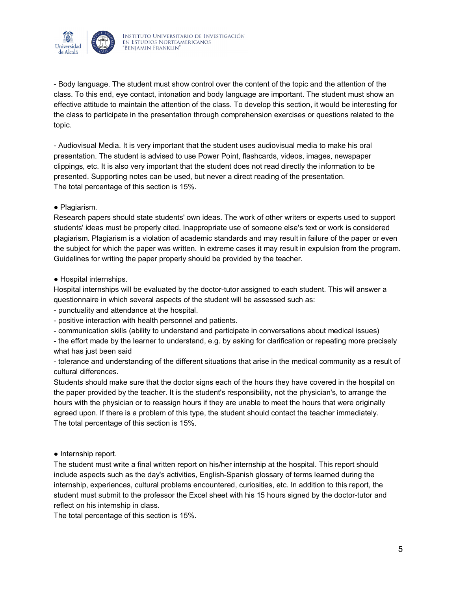

- Body language. The student must show control over the content of the topic and the attention of the class. To this end, eye contact, intonation and body language are important. The student must show an effective attitude to maintain the attention of the class. To develop this section, it would be interesting for the class to participate in the presentation through comprehension exercises or questions related to the topic.

- Audiovisual Media. It is very important that the student uses audiovisual media to make his oral presentation. The student is advised to use Power Point, flashcards, videos, images, newspaper clippings, etc. It is also very important that the student does not read directly the information to be presented. Supporting notes can be used, but never a direct reading of the presentation. The total percentage of this section is 15%.

#### ● Plagiarism.

Research papers should state students' own ideas. The work of other writers or experts used to support students' ideas must be properly cited. Inappropriate use of someone else's text or work is considered plagiarism. Plagiarism is a violation of academic standards and may result in failure of the paper or even the subject for which the paper was written. In extreme cases it may result in expulsion from the program. Guidelines for writing the paper properly should be provided by the teacher.

#### ● Hospital internships.

Hospital internships will be evaluated by the doctor-tutor assigned to each student. This will answer a questionnaire in which several aspects of the student will be assessed such as:

- punctuality and attendance at the hospital.
- positive interaction with health personnel and patients.
- communication skills (ability to understand and participate in conversations about medical issues)

- the effort made by the learner to understand, e.g. by asking for clarification or repeating more precisely what has just been said

- tolerance and understanding of the different situations that arise in the medical community as a result of cultural differences.

Students should make sure that the doctor signs each of the hours they have covered in the hospital on the paper provided by the teacher. It is the student's responsibility, not the physician's, to arrange the hours with the physician or to reassign hours if they are unable to meet the hours that were originally agreed upon. If there is a problem of this type, the student should contact the teacher immediately. The total percentage of this section is 15%.

● Internship report.

The student must write a final written report on his/her internship at the hospital. This report should include aspects such as the day's activities, English-Spanish glossary of terms learned during the internship, experiences, cultural problems encountered, curiosities, etc. In addition to this report, the student must submit to the professor the Excel sheet with his 15 hours signed by the doctor-tutor and reflect on his internship in class.

The total percentage of this section is 15%.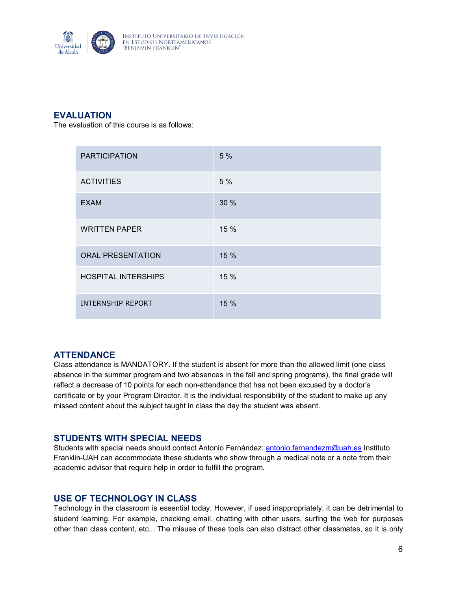

# **EVALUATION**

The evaluation of this course is as follows:

| <b>PARTICIPATION</b>       | 5%   |
|----------------------------|------|
| <b>ACTIVITIES</b>          | 5 %  |
| <b>EXAM</b>                | 30 % |
| <b>WRITTEN PAPER</b>       | 15 % |
| <b>ORAL PRESENTATION</b>   | 15%  |
| <b>HOSPITAL INTERSHIPS</b> | 15%  |
| <b>INTERNSHIP REPORT</b>   | 15 % |

# **ATTENDANCE**

Class attendance is MANDATORY. If the student is absent for more than the allowed limit (one class absence in the summer program and two absences in the fall and spring programs), the final grade will reflect a decrease of 10 points for each non-attendance that has not been excused by a doctor's certificate or by your Program Director. It is the individual responsibility of the student to make up any missed content about the subject taught in class the day the student was absent.

## **STUDENTS WITH SPECIAL NEEDS**

Students with special needs should contact Antonio Fernández: [antonio.fernandezm@uah.es](mailto:antonio.fernandezm@uah.es) Instituto Franklin-UAH can accommodate these students who show through a medical note or a note from their academic advisor that require help in order to fulfill the program.

## **USE OF TECHNOLOGY IN CLASS**

Technology in the classroom is essential today. However, if used inappropriately, it can be detrimental to student learning. For example, checking email, chatting with other users, surfing the web for purposes other than class content, etc... The misuse of these tools can also distract other classmates, so it is only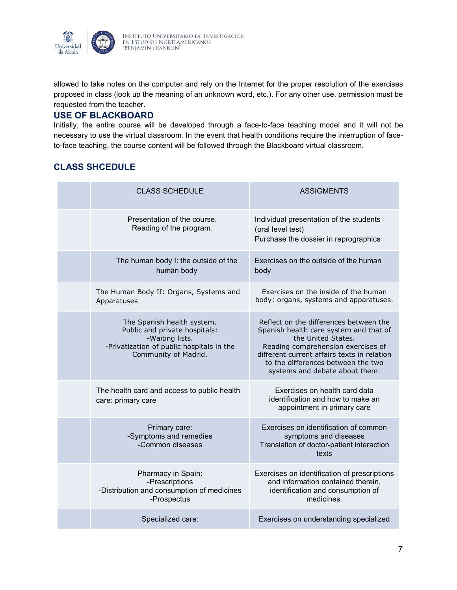

allowed to take notes on the computer and rely on the Internet for the proper resolution of the exercises proposed in class (look up the meaning of an unknown word, etc.). For any other use, permission must be requested from the teacher.

## **USE OF BLACKBOARD**

Initially, the entire course will be developed through a face-to-face teaching model and it will not be necessary to use the virtual classroom. In the event that health conditions require the interruption of faceto-face teaching, the course content will be followed through the Blackboard virtual classroom.

# **CLASS SHCEDULE**

| <b>CLASS SCHEDULE</b>                                                                                                                               | <b>ASSIGMENTS</b>                                                                                                                                                                                                                                                   |
|-----------------------------------------------------------------------------------------------------------------------------------------------------|---------------------------------------------------------------------------------------------------------------------------------------------------------------------------------------------------------------------------------------------------------------------|
| Presentation of the course.<br>Reading of the program.                                                                                              | Individual presentation of the students<br>(oral level test)<br>Purchase the dossier in reprographics                                                                                                                                                               |
| The human body I: the outside of the<br>human body                                                                                                  | Exercises on the outside of the human<br>body                                                                                                                                                                                                                       |
| The Human Body II: Organs, Systems and<br>Apparatuses                                                                                               | Exercises on the inside of the human<br>body: organs, systems and apparatuses.                                                                                                                                                                                      |
| The Spanish health system.<br>Public and private hospitals:<br>-Waiting lists.<br>-Privatization of public hospitals in the<br>Community of Madrid. | Reflect on the differences between the<br>Spanish health care system and that of<br>the United States.<br>Reading comprehension exercises of<br>different current affairs texts in relation<br>to the differences between the two<br>systems and debate about them. |
| The health card and access to public health<br>care: primary care                                                                                   | Exercises on health card data<br>identification and how to make an<br>appointment in primary care                                                                                                                                                                   |
| Primary care:<br>-Symptoms and remedies<br>-Common diseases                                                                                         | Exercises on identification of common<br>symptoms and diseases<br>Translation of doctor-patient interaction<br>texts                                                                                                                                                |
| Pharmacy in Spain:<br>-Prescriptions<br>-Distribution and consumption of medicines<br>-Prospectus                                                   | Exercises on identification of prescriptions<br>and information contained therein,<br>identification and consumption of<br>medicines.                                                                                                                               |
| Specialized care:                                                                                                                                   | Exercises on understanding specialized                                                                                                                                                                                                                              |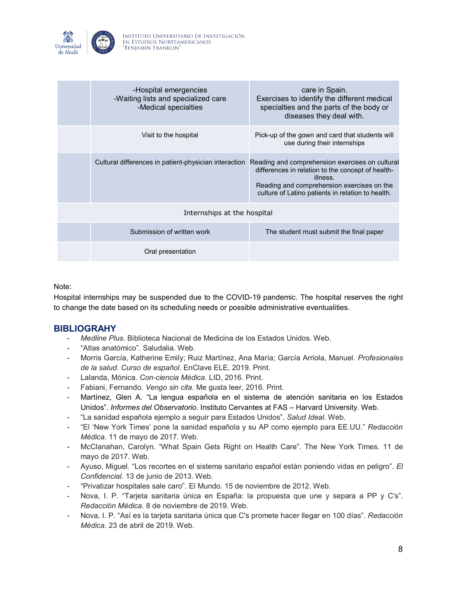

|                             | -Hospital emergencies<br>-Waiting lists and specialized care<br>-Medical specialties | care in Spain.<br>Exercises to identify the different medical<br>specialties and the parts of the body or<br>diseases they deal with.                                                                               |  |  |
|-----------------------------|--------------------------------------------------------------------------------------|---------------------------------------------------------------------------------------------------------------------------------------------------------------------------------------------------------------------|--|--|
|                             | Visit to the hospital                                                                | Pick-up of the gown and card that students will<br>use during their internships                                                                                                                                     |  |  |
|                             | Cultural differences in patient-physician interaction                                | Reading and comprehension exercises on cultural<br>differences in relation to the concept of health-<br>illness.<br>Reading and comprehension exercises on the<br>culture of Latino patients in relation to health. |  |  |
| Internships at the hospital |                                                                                      |                                                                                                                                                                                                                     |  |  |
|                             | Submission of written work                                                           | The student must submit the final paper                                                                                                                                                                             |  |  |
|                             | Oral presentation                                                                    |                                                                                                                                                                                                                     |  |  |

#### Note:

Hospital internships may be suspended due to the COVID-19 pandemic. The hospital reserves the right to change the date based on its scheduling needs or possible administrative eventualities.

## **BIBLIOGRAHY**

- *Medline Plus*. Biblioteca Nacional de Medicina de los Estados Unidos. Web.
- "Atlas anatómico". Saludalia. Web.
- Morris García, Katherine Emily; Ruiz Martínez, Ana María; García Arriola, Manuel. *Profesionales de la salud. Curso de español.* EnClave ELE, 2019. Print.
- Lalanda, Mónica. *Con-ciencia Médica*. LID, 2016. Print.
- Fabiani, Fernando. *Vengo sin cita*. Me gusta leer, 2016. Print.
- Martínez, Glen A. "La lengua española en el sistema de atención sanitaria en los Estados Unidos". *Informes del Observatorio*. Instituto Cervantes at FAS – Harvard University. Web.
- "La sanidad española ejemplo a seguir para Estados Unidos". *Salud Ideal*. Web.
- "El 'New York Times' pone la sanidad española y su AP como ejemplo para EE.UU." *Redacción Médica.* 11 de mayo de 2017. Web.
- McClanahan, Carolyn. "What Spain Gets Right on Health Care". The New York Times. 11 de mayo de 2017. Web.
- Ayuso, Miguel. "Los recortes en el sistema sanitario español están poniendo vidas en peligro". *El Confidencial*. 13 de junio de 2013. Web.
- "Privatizar hospitales sale caro". El Mundo. 15 de noviembre de 2012. Web.
- Nova, I. P. "Tarjeta sanitaria única en España: la propuesta que une y separa a PP y C's". *Redacción Médica*. 8 de noviembre de 2019. Web.
- Nova, I. P. "Así es la tarjeta sanitaria única que C's promete hacer llegar en 100 días". *Redacción Médica*. 23 de abril de 2019. Web.